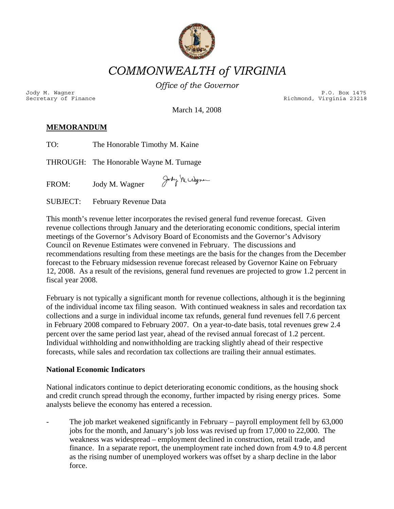

*COMMONWEALTH of VIRGINIA* 

*Office of the Governor*

Jody M. Wagner P.O. Box 1475<br>Secretary of Finance external property of the external property of the external property of the external prope<br>P.O. Box 1475 (P.O. Box 1475) Richmond, Virginia 23218

March 14, 2008

# **MEMORANDUM**

| TO:      | The Honorable Timothy M. Kaine          |                 |
|----------|-----------------------------------------|-----------------|
|          | THROUGH: The Honorable Wayne M. Turnage |                 |
| FROM:    | Jody M. Wagner                          | Jody Ne citigna |
| SUBJECT: | February Revenue Data                   |                 |

This month's revenue letter incorporates the revised general fund revenue forecast. Given revenue collections through January and the deteriorating economic conditions, special interim meetings of the Governor's Advisory Board of Economists and the Governor's Advisory Council on Revenue Estimates were convened in February. The discussions and recommendations resulting from these meetings are the basis for the changes from the December forecast to the February midsession revenue forecast released by Governor Kaine on February 12, 2008. As a result of the revisions, general fund revenues are projected to grow 1.2 percent in fiscal year 2008.

February is not typically a significant month for revenue collections, although it is the beginning of the individual income tax filing season. With continued weakness in sales and recordation tax collections and a surge in individual income tax refunds, general fund revenues fell 7.6 percent in February 2008 compared to February 2007. On a year-to-date basis, total revenues grew 2.4 percent over the same period last year, ahead of the revised annual forecast of 1.2 percent. Individual withholding and nonwithholding are tracking slightly ahead of their respective forecasts, while sales and recordation tax collections are trailing their annual estimates.

## **National Economic Indicators**

National indicators continue to depict deteriorating economic conditions, as the housing shock and credit crunch spread through the economy, further impacted by rising energy prices. Some analysts believe the economy has entered a recession.

The job market weakened significantly in February – payroll employment fell by  $63,000$ jobs for the month, and January's job loss was revised up from 17,000 to 22,000. The weakness was widespread – employment declined in construction, retail trade, and finance. In a separate report, the unemployment rate inched down from 4.9 to 4.8 percent as the rising number of unemployed workers was offset by a sharp decline in the labor force.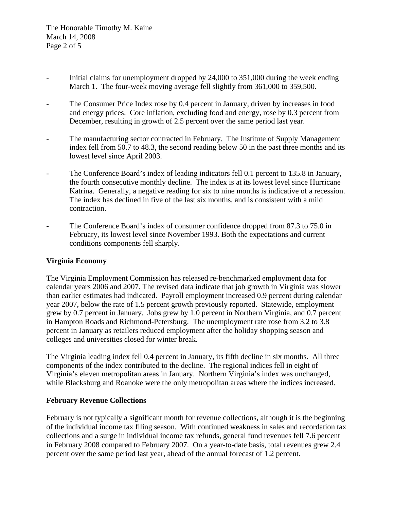- Initial claims for unemployment dropped by 24,000 to 351,000 during the week ending March 1. The four-week moving average fell slightly from 361,000 to 359,500.
- The Consumer Price Index rose by 0.4 percent in January, driven by increases in food and energy prices. Core inflation, excluding food and energy, rose by 0.3 percent from December, resulting in growth of 2.5 percent over the same period last year.
- The manufacturing sector contracted in February. The Institute of Supply Management index fell from 50.7 to 48.3, the second reading below 50 in the past three months and its lowest level since April 2003.
- The Conference Board's index of leading indicators fell 0.1 percent to 135.8 in January, the fourth consecutive monthly decline. The index is at its lowest level since Hurricane Katrina. Generally, a negative reading for six to nine months is indicative of a recession. The index has declined in five of the last six months, and is consistent with a mild contraction.
- The Conference Board's index of consumer confidence dropped from 87.3 to 75.0 in February, its lowest level since November 1993. Both the expectations and current conditions components fell sharply.

## **Virginia Economy**

The Virginia Employment Commission has released re-benchmarked employment data for calendar years 2006 and 2007. The revised data indicate that job growth in Virginia was slower than earlier estimates had indicated. Payroll employment increased 0.9 percent during calendar year 2007, below the rate of 1.5 percent growth previously reported. Statewide, employment grew by 0.7 percent in January. Jobs grew by 1.0 percent in Northern Virginia, and 0.7 percent in Hampton Roads and Richmond-Petersburg. The unemployment rate rose from 3.2 to 3.8 percent in January as retailers reduced employment after the holiday shopping season and colleges and universities closed for winter break.

The Virginia leading index fell 0.4 percent in January, its fifth decline in six months. All three components of the index contributed to the decline. The regional indices fell in eight of Virginia's eleven metropolitan areas in January. Northern Virginia's index was unchanged, while Blacksburg and Roanoke were the only metropolitan areas where the indices increased.

## **February Revenue Collections**

February is not typically a significant month for revenue collections, although it is the beginning of the individual income tax filing season. With continued weakness in sales and recordation tax collections and a surge in individual income tax refunds, general fund revenues fell 7.6 percent in February 2008 compared to February 2007. On a year-to-date basis, total revenues grew 2.4 percent over the same period last year, ahead of the annual forecast of 1.2 percent.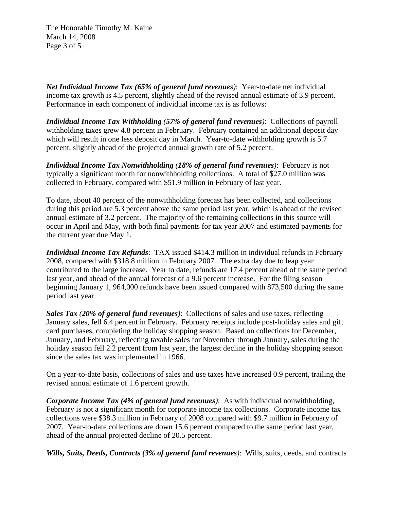The Honorable Timothy M. Kaine March 14, 2008 Page 3 of 5

*Net Individual Income Tax (65% of general fund revenues)*: Year-to-date net individual income tax growth is 4.5 percent, slightly ahead of the revised annual estimate of 3.9 percent. Performance in each component of individual income tax is as follows:

*Individual Income Tax Withholding (57% of general fund revenues)*: Collections of payroll withholding taxes grew 4.8 percent in February. February contained an additional deposit day which will result in one less deposit day in March. Year-to-date withholding growth is 5.7 percent, slightly ahead of the projected annual growth rate of 5.2 percent.

*Individual Income Tax Nonwithholding (18% of general fund revenues)*: February is not typically a significant month for nonwithholding collections. A total of \$27.0 million was collected in February, compared with \$51.9 million in February of last year.

To date, about 40 percent of the nonwithholding forecast has been collected, and collections during this period are 5.3 percent above the same period last year, which is ahead of the revised annual estimate of 3.2 percent. The majority of the remaining collections in this source will occur in April and May, with both final payments for tax year 2007 and estimated payments for the current year due May 1.

*Individual Income Tax Refunds*: TAX issued \$414.3 million in individual refunds in February 2008, compared with \$318.8 million in February 2007. The extra day due to leap year contributed to the large increase. Year to date, refunds are 17.4 percent ahead of the same period last year, and ahead of the annual forecast of a 9.6 percent increase. For the filing season beginning January 1, 964,000 refunds have been issued compared with 873,500 during the same period last year.

*Sales Tax (20% of general fund revenues)*: Collections of sales and use taxes, reflecting January sales, fell 6.4 percent in February. February receipts include post-holiday sales and gift card purchases, completing the holiday shopping season. Based on collections for December, January, and February, reflecting taxable sales for November through January, sales during the holiday season fell 2.2 percent from last year, the largest decline in the holiday shopping season since the sales tax was implemented in 1966.

On a year-to-date basis, collections of sales and use taxes have increased 0.9 percent, trailing the revised annual estimate of 1.6 percent growth.

*Corporate Income Tax (4% of general fund revenues)*: As with individual nonwithholding, February is not a significant month for corporate income tax collections. Corporate income tax collections were \$38.3 million in February of 2008 compared with \$9.7 million in February of 2007. Year-to-date collections are down 15.6 percent compared to the same period last year, ahead of the annual projected decline of 20.5 percent.

*Wills, Suits, Deeds, Contracts (3% of general fund revenues)*: Wills, suits, deeds, and contracts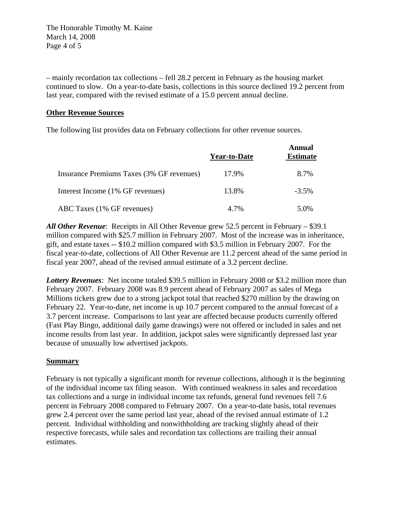The Honorable Timothy M. Kaine March 14, 2008 Page 4 of 5

– mainly recordation tax collections – fell 28.2 percent in February as the housing market continued to slow. On a year-to-date basis, collections in this source declined 19.2 percent from last year, compared with the revised estimate of a 15.0 percent annual decline.

### **Other Revenue Sources**

The following list provides data on February collections for other revenue sources.

|                                           | <b>Year-to-Date</b> | Annual<br><b>Estimate</b> |
|-------------------------------------------|---------------------|---------------------------|
| Insurance Premiums Taxes (3% GF revenues) | 17.9%               | 8.7%                      |
| Interest Income (1% GF revenues)          | 13.8%               | $-3.5\%$                  |
| ABC Taxes (1% GF revenues)                | 4.7%                | 5.0%                      |

*All Other Revenue*: Receipts in All Other Revenue grew 52.5 percent in February – \$39.1 million compared with \$25.7 million in February 2007. Most of the increase was in inheritance, gift, and estate taxes -- \$10.2 million compared with \$3.5 million in February 2007. For the fiscal year-to-date, collections of All Other Revenue are 11.2 percent ahead of the same period in fiscal year 2007, ahead of the revised annual estimate of a 3.2 percent decline.

*Lottery Revenues:* Net income totaled \$39.5 million in February 2008 or \$3.2 million more than February 2007. February 2008 was 8.9 percent ahead of February 2007 as sales of Mega Millions tickets grew due to a strong jackpot total that reached \$270 million by the drawing on February 22. Year-to-date, net income is up 10.7 percent compared to the annual forecast of a 3.7 percent increase. Comparisons to last year are affected because products currently offered (Fast Play Bingo, additional daily game drawings) were not offered or included in sales and net income results from last year. In addition, jackpot sales were significantly depressed last year because of unusually low advertised jackpots.

### **Summary**

February is not typically a significant month for revenue collections, although it is the beginning of the individual income tax filing season. With continued weakness in sales and recordation tax collections and a surge in individual income tax refunds, general fund revenues fell 7.6 percent in February 2008 compared to February 2007. On a year-to-date basis, total revenues grew 2.4 percent over the same period last year, ahead of the revised annual estimate of 1.2 percent. Individual withholding and nonwithholding are tracking slightly ahead of their respective forecasts, while sales and recordation tax collections are trailing their annual estimates.